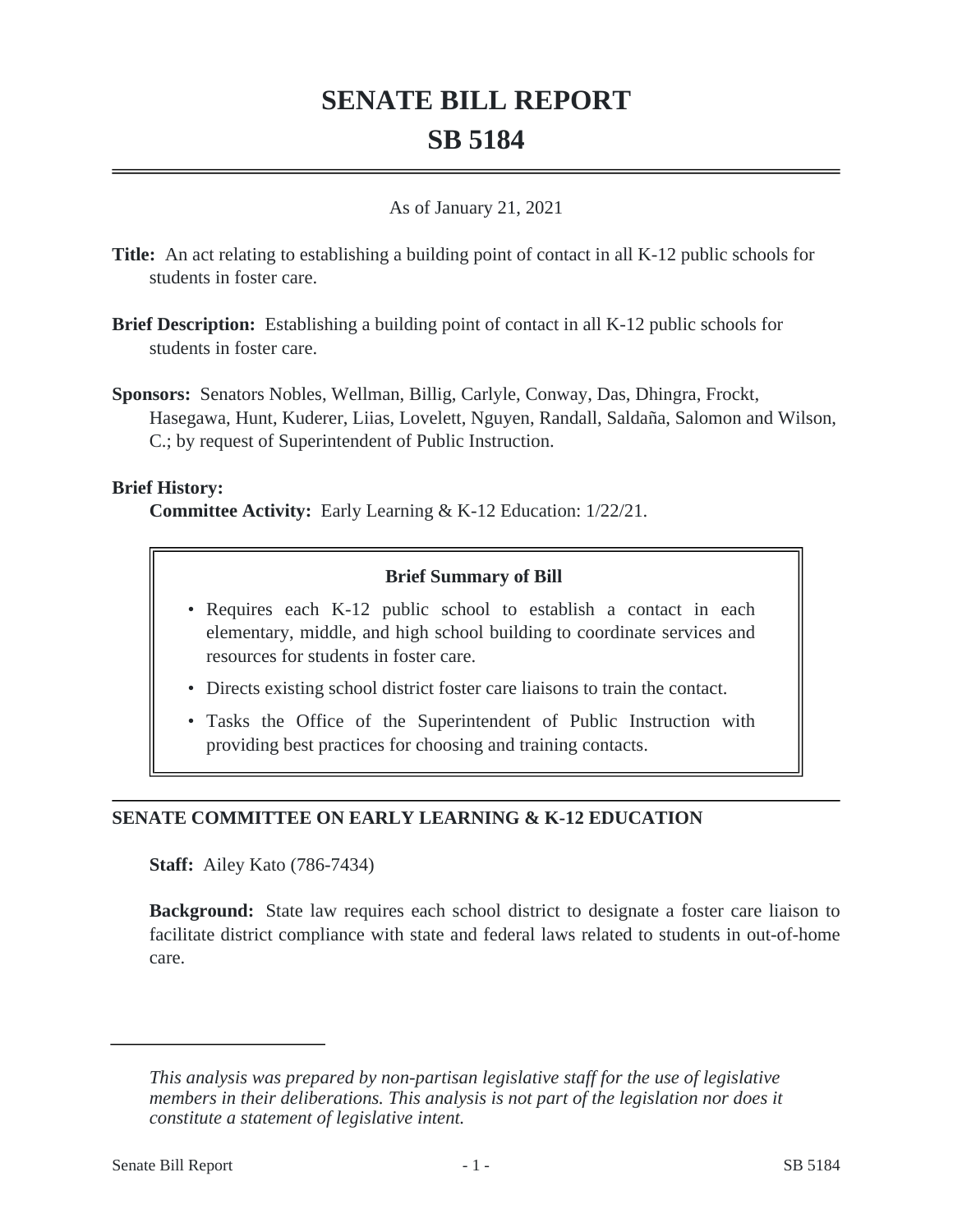# **SENATE BILL REPORT SB 5184**

### As of January 21, 2021

- **Title:** An act relating to establishing a building point of contact in all K-12 public schools for students in foster care.
- **Brief Description:** Establishing a building point of contact in all K-12 public schools for students in foster care.
- **Sponsors:** Senators Nobles, Wellman, Billig, Carlyle, Conway, Das, Dhingra, Frockt, Hasegawa, Hunt, Kuderer, Liias, Lovelett, Nguyen, Randall, Saldaña, Salomon and Wilson, C.; by request of Superintendent of Public Instruction.

### **Brief History:**

**Committee Activity:** Early Learning & K-12 Education: 1/22/21.

## **Brief Summary of Bill**

- Requires each K-12 public school to establish a contact in each elementary, middle, and high school building to coordinate services and resources for students in foster care.
- Directs existing school district foster care liaisons to train the contact.
- Tasks the Office of the Superintendent of Public Instruction with providing best practices for choosing and training contacts.

## **SENATE COMMITTEE ON EARLY LEARNING & K-12 EDUCATION**

**Staff:** Ailey Kato (786-7434)

**Background:** State law requires each school district to designate a foster care liaison to facilitate district compliance with state and federal laws related to students in out-of-home care.

*This analysis was prepared by non-partisan legislative staff for the use of legislative members in their deliberations. This analysis is not part of the legislation nor does it constitute a statement of legislative intent.*